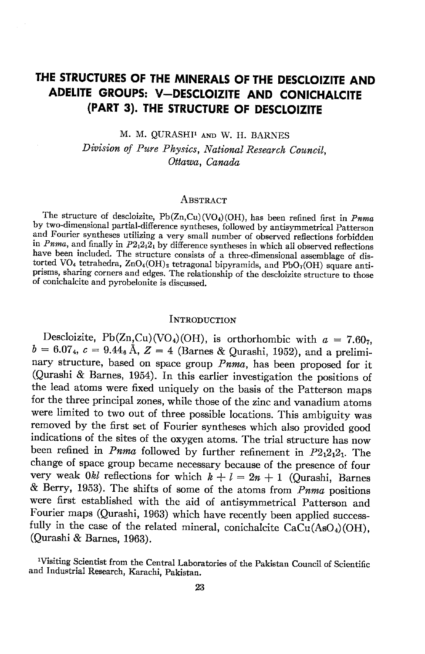# THE STRUCTURES OF THE MINERALS OF THE DESCLOIZITE AND ADELITE GROUPS: V-DESCLOIZITE AND CONICHALCITE (PART 3). THE STRUCTURE OF DESCLOIZITE

M. M. QURASHI<sup>1</sup> AND W. H. BARNES

Division of Pure Physics, National Research Council. Ottawa, Canada

### ABSTRACT

The structure of descloizite,  $Pb(Zn,Cu)(VO<sub>4</sub>)(OH)$ , has been refined first in *Pnma* by two-dimensional partial-difference syntheses, followed by antisymmetrical Patterson and Fourier syntheses utilizing a very small number of observed reflections forbidden in *Pnma*, and finally in  $P2_12_12_1$  by difference syntheses in which all observed reflections have been included. The structure consists of a three-dimensional assemblage of distorted VO<sub>4</sub> tetrahedra,  $\text{ZnO}_4(OH)_2$  tetragonal bipyramids, and PbO<sub>7</sub>(OH) square antiprisms, sharing corners and edges. The relationship of the descloizite structure to those of conichalcite and pyrobelonite is discussed.

## INTRODUCTION

Descloizite, Pb(Zn,Cu)(VO<sub>4</sub>)(OH), is orthorhombic with  $a = 7.60<sub>7</sub>$ ,  $b = 6.07_4$ ,  $c = 9.44_6$  Å,  $Z = 4$  (Barnes & Ourashi, 1952), and a preliminary structure, based on space group Pnma, has been proposed for it (Qurashi & Barnes, 1954). In this earlier investigation the positions of the lead atoms were fixed uniquely on the basis of the Patterson maps for the three principal zones, while those of the zinc and vanadium atoms were limited to two out of three possible locations. This ambiguity was removed by the first set of Fourier syntheses which also provided good indications of the sites of the oxygen atoms. The trial structure has now been refined in *Pnma* followed by further refinement in  $P2_12_12_1$ . The change of space group became necessary because of the presence of four very weak *Okl* reflections for which  $k + l = 2n + 1$  (Qurashi, Barnes & Berry, 1953). The shifts of some of the atoms from  $Pnma$  positions were first established with the aid of antisymmetrical Patterson and Fourier maps (Qurashi, 1963) which have recently been applied successfully in the case of the related mineral, conichalcite CaCu(AsO<sub>4</sub>)(OH), (Qurashi & Barnes, 1963).

<sup>1</sup>Visiting Scientist from the Central Laboratories of the Pakistan Council of Scientific and Industrial Research, Karachi, Pakistan.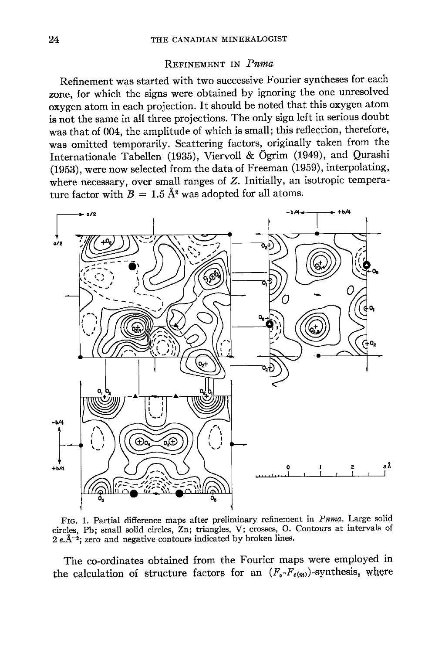### REFINEMENT IN Puma

Refinement was started with two successive Fourier syntheses for each zone, for which the signs were obtained by ignoring the one unresolved oxygen atom in each projection. It should be noted that this oxygen atom is not the same in all three projections. The only sign left in serious doubt was that of 004, the amplitude of which is small; this reflection, therefore, was omitted temporarily. Scattering factors, originally taken from the Internationale Tabellen (1935), Viervoll & Ögrim (1949), and Qurashi (1953), were now selected from the data of Freeman (1959), interpolating, where necessary, over small ranges of  $Z$ . Initially, an isotropic temperature factor with  $B = 1.5 \text{ Å}^2$  was adopted for all atoms.



FIG. 1. Partial difference maps after preliminary refinement in Pnma. Large solid circles, Pb; small solid circles, Zn; triangles, V; crosses, O. Contours at intervals of  $2e.\AA^{-2}$ ; zero and negative contours indicated by broken lines.

The co-ordinates obtained from the Fourier maps were employed in the calculation of structure factors for an  $(F_o-F_{c(m)})$ -synthesis, where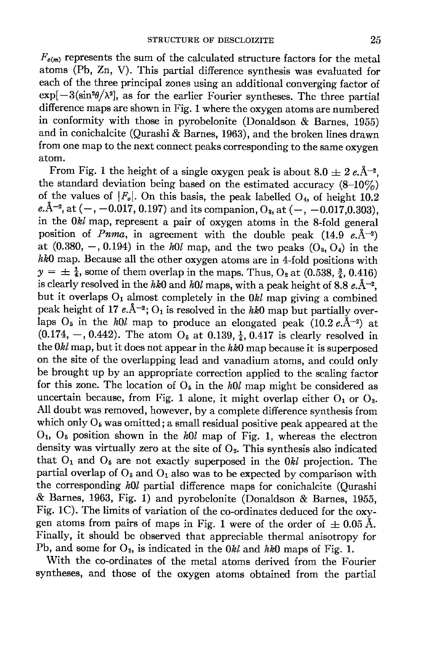$F_{c(m)}$  represents the sum of the calculated structure factors for the metal atoms (Pb, Zn, V). This partial difference synthesis was evaluated for each of the three principal zones using an additional converging factor of  $\exp[-3(\sin^2\theta/\lambda^2)]$ , as for the earlier Fourier syntheses. The three partial difference maps are shown in Fig. l where the oxygen atoms are numbered in conformity with those in pyrobelonite (Donaldson  $\&$  Barnes, 1955) and in conichalcite (Qurashi & Barnes, 1963), and the broken lines drawn from one map to the next connect peaks corresponding to the same oxygen atom.

From Fig. 1 the height of a single oxygen peak is about  $8.0 \pm 2 e \text{Å}^{-2}$ . the standard deviation being based on the estimated accuracy  $(8-10\%)$ of the values of  $|F_o|$ . On this basis, the peak labelled O<sub>4</sub>, of height 10.2 e. $A^{-2}$ , at  $(-, -0.017, 0.197)$  and its companion,  $O_3$ , at  $(-, -0.017, 0.303)$ , in the  $0kl$  map, represent a pair of oxygen atoms in the 8-fold general position of *Pnma*, in agreement with the double peak  $(14.9 e, \AA^{-2})$ at  $(0.380, -, 0.194)$  in the h $0l$  map, and the two peaks  $(O_3, O_4)$  in the hk0 map. Because all the other oxygen atoms are in 4-fold positions with  $y = \pm \frac{1}{4}$ , some of them overlap in the maps. Thus, O<sub>2</sub> at (0.538,  $\frac{3}{4}$ , 0.416) is clearly resolved in the hk0 and h0l maps, with a peak height of 8.8  $e.\AA^{-2}$ , but it overlaps  $O_1$  almost completely in the  $0kl$  map giving a combined peak height of 17  $e.\AA^{-2}$ ; O<sub>1</sub> is resolved in the hk0 map but partially overlaps  $O_5$  in the h $\ell$ , map to produce an elongated peak (10.2 e.A-2) at  $(0.174, -, 0.442)$ . The atom O<sub>5</sub> at 0.139,  $\frac{1}{4}$ , 0.417 is clearly resolved in the  $0kl$  map, but it does not appear in the  $hk0$  map because it is superposed on the site of the overlapping lead and vanadium atoms, and could only be brought up by an appropriate correction applied to the scaling factor for this zone. The location of  $O_5$  in the h $0l$  map might be considered as uncertain because, from Fig. 1 alone, it might overlap either  $O_1$  or  $O_2$ . All doubt was removed, however, by a complete difference synthesis from which only  $O_5$  was omitted; a small residual positive peak appeared at the  $O<sub>1</sub>$ ,  $O<sub>5</sub>$  position shown in the h $0l$  map of Fig. 1, whereas the electron density was virtually zero at the site of  $O<sub>2</sub>$ . This synthesis also indicated that  $O_1$  and  $O_5$  are not exactly superposed in the  $0kl$  projection. The partial overlap of  $O_5$  and  $O_1$  also was to be expected by comparison with the corresponding hOl partial difference maps for conichalcite (Qurashi  $\&$  Barnes, 1963, Fig. 1) and pyrobelonite (Donaldson  $\&$  Barnes, 1955, Fig. 1C). The limits of variation of the co-ordinates deduced for the oxygen atoms from pairs of maps in Fig. 1 were of the order of  $\pm 0.05$  Å. Finally, it should be observed that appreciable thermal anisotropy for Pb, and some for  $O_2$ , is indicated in the  $0kl$  and hk $0$  maps of Fig. 1.

With the co-ordinates of the metal atoms derived from the Fourier syntheses, and those of the oxygen atoms obtained from the partial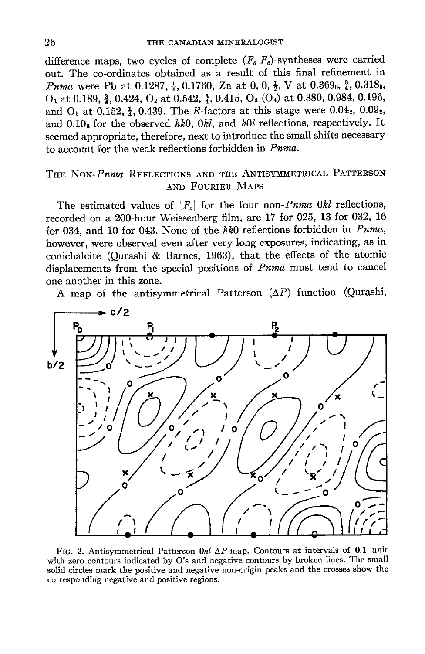difference maps, two cycles of complete  $(F_o-F_e)$ -syntheses were carried out. The co-ordinates obtained as a result of this final refinement in *Pnma* were Pb at 0.1287,  $\frac{1}{4}$ , 0.1760, Zn at 0, 0,  $\frac{1}{2}$ , V at 0.369<sub>0</sub>,  $\frac{3}{4}$ , 0.318<sub>0</sub>,  $O_1$  at 0.189,  $\frac{3}{4}$ , 0.424,  $O_2$  at 0.542,  $\frac{3}{4}$ , 0.415,  $O_3$  ( $O_4$ ) at 0.380, 0.984, 0.196, and  $O_5$  at 0.152,  $\frac{1}{4}$ , 0.439. The *R*-factors at this stage were 0.04<sub>2</sub>, 0.09<sub>2</sub>, and  $0.10$ <sub>s</sub> for the observed hk0,  $0kl$ , and h0l reflections, respectively. It seemed appropriate, therefore, next to introduce the small shifts necessary to account for the weak reflections forbidden in  $Pnma$ .

# THE NON-Pnma REFLECTIONS AND THE ANTISYMMETRICAL PATTERSON AND FOURIER MAPS

The estimated values of  $|F_o|$  for the four non-*Pnma Okl* reflections, recorded on a 200-hour Weissenberg film, are 17 for 025, 13 for 032, 16 for 034, and 10 for 043. None of the  $hk0$  reflections forbidden in Pnma, however, were observed even after very long exposures, indicating, as in conichalcite (Qurashi & Barnes, 1963), that the effects of the atomic displacements from the special positions of  $Pnma$  must tend to cancel one another in this zone.

A map of the antisymmetrical Patterson  $(\Delta P)$  function (Qurashi,



FIG. 2. Antisymmetrical Patterson 0kl  $\Delta P$ -map. Contours at intervals of 0.1 unit with zero contours indicated by O's and negative contours by broken lines. The small solid circles mark the positive and negative non-origin peaks and the crosses show the corresponding negative and positive regions.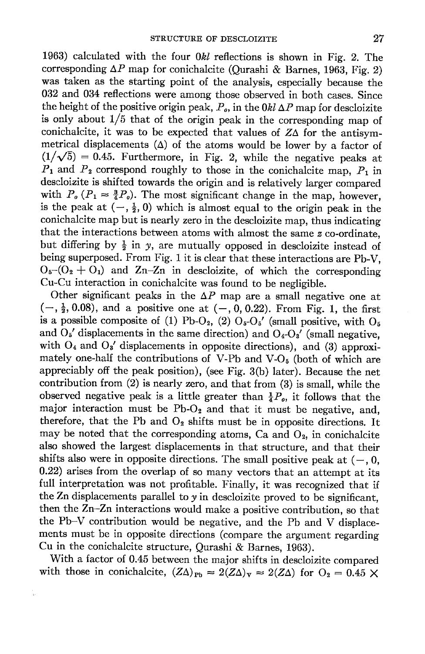1963) calculated with the four  $0kl$  reflections is shown in Fig. 2. The corresponding  $\Delta P$  map for conichalcite (Qurashi & Barnes, 1963, Fig. 2) was taken as the starting point of the analysis, especially because the 032 and 034 reflections were among those observed in both cases. Since the height of the positive origin peak,  $P_o$ , in the 0kl  $\Delta P$  map for descloizite is only about  $1/5$  that of the origin peak in the corresponding map of conichalcite, it was to be expected that values of  $Z\Delta$  for the antisymmetrical displacements  $(\Delta)$  of the atoms would be lower by a factor of  $(1/\sqrt{5})$  = 0.45. Furthermore, in Fig. 2, while the negative peaks at  $P_1$  and  $P_2$  correspond roughly to those in the conichalcite map,  $P_1$  in descloiaite is shifted towards the origin and is relatively larger compared with  $P_o (P_1 \approx \frac{3}{4}P_o)$ . The most significant change in the map, however, is the peak at  $\left(-, \frac{1}{2}, 0\right)$  which is almost equal to the origin peak in the conichalcite map but is nearly zero in the descloizite map, thus indicating that the interactions between atoms with almost the same z co-ordinate, but differing by  $\frac{1}{2}$  in y, are mutually opposed in descloizite instead of being superposed. From Fig. 1 it is clear that these interactions are Pb-V,  $O_6 - (O_2 + O_1)$  and Zn-Zn in descloizite, of which the corresponding Cu-Cu interaction in conichalcite was found to be negligible.

Other significant peaks in the  $\Delta P$  map are a small negative one at  $(-, \frac{1}{2}, 0.08)$ , and a positive one at  $(-, 0, 0.22)$ . From Fig. 1, the first is a possible composite of (1) Pb-O<sub>2</sub>, (2)  $O<sub>5</sub>-O<sub>5</sub>'$  (small positive, with  $O<sub>5</sub>$ and  $O_5'$  displacements in the same direction) and  $O_4-O_3'$  (small negative, with  $O_4$  and  $O_3'$  displacements in opposite directions), and (3) approximately one-half the contributions of V-Pb and V-O $_5$  (both of which are appreciably off the peak position), (see Fig. 3(b) later). Because the net contribution from  $(2)$  is nearly zero, and that from  $(3)$  is small, while the observed negative peak is a little greater than  $\frac{1}{4}P_o$ , it follows that the major interaction must be  $Pb-O<sub>2</sub>$  and that it must be negative, and, therefore, that the Pb and  $O_2$  shifts must be in opposite directions. It may be noted that the corresponding atoms, Ca and  $O_2$ , in conichalcite also showed the largest displacements in that structure, and that their shifts also were in opposite directions. The small positive peak at  $(-, 0, 0)$ 0.22) arises from the overlap of so many vectors that an attempt at its full interpretation was not profitable. Finally, it was recognized that if the Zn displacements parallel to  $y$  in descloizite proved to be significant, then the Zn-Zn interactions would make a positive contribution, so that the Pb-V contribution would be negative, and the Pb and V displacements must be in opposite directions (compare the argument regarding Cu in the conichalcite structure, Qurashi & Barnes, 1963).

With a factor of 0.45 between the major shifts in descloizite compared with those in conichalcite,  $(Z\Delta)_{\text{Pb}} \approx 2(Z\Delta)_{\text{V}} \approx 2(Z\Delta)$  for  $O_2 = 0.45 \times$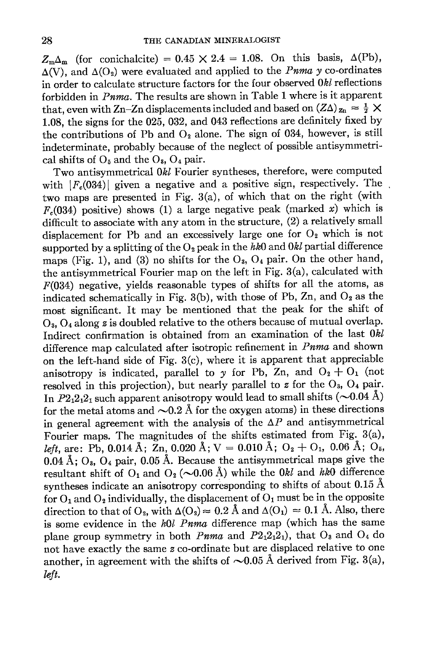$Z_{\rm m}\Delta_{\rm m}$  (for conichalcite) = 0.45  $\times$  2.4 = 1.08. On this basis,  $\Delta(\rm Pb)$ ,  $\Delta(V)$ , and  $\Delta(O_2)$  were evaluated and applied to the *Pnma* y co-ordinates in order to calculate structure factors for the four observed 0&l reflections forbidden in  $Pnma$ . The results are shown in Table 1 where is it apparent that, even with Zn-Zn displacements included and based on  $(Z\Delta)_{\mathbf{z}_n} = \frac{1}{2} \times$ 1.08, the signs for the 025, 032, and 043 reflections are definitely fixed by the contributions of Pb and  $O_2$  alone. The sign of 034, however, is still indeterminate, probably because of the neglect of possible antisymmetrical shifts of  $O_5$  and the  $O_8$ ,  $O_4$  pair.

Two antisymmetrical 0kl Fourier syntheses, therefore, were computed with  $|F_c(034)|$  given a negative and a positive sign, respectively. The two maps are presented in Fig. 3(a), of which that on the right (with  $F_c(034)$  positive) shows (1) a large negative peak (marked x) which is difficult to associate with any atom in the structure, (2) a relatively small displacement for Pb and an excessively large one for  $O<sub>2</sub>$  which is not supported by a splitting of the  $O_2$  peak in the hk $\overline{0}$  and  $\overline{0}$  partial difference maps (Fig. 1), and (3) no shifts for the  $O_3$ ,  $O_4$  pair. On the other hand, the antisymmetrical Fourier map on the left in Fig. 3(a), calculated with  $F(034)$  negative, yields reasonable types of shifts for all the atoms, as indicated schematically in Fig. 3(b), with those of Pb, Zn, and  $O_2$  as the most significant. It may be mentioned that the peak for the shift of  $O_3$ ,  $O_4$  along z is doubled relative to the others because of mutual overlap. Indirect confirmation is obtained from an examination of the last Okl difference map calculated after isotropic refinement in Pnma and shown on the left-hand side of Fig. 3(c), where it is apparent that appreciable anisotropy is indicated, parallel to y for Pb, Zn, and  $O_2 + O_1$  (not resolved in this projection), but nearly parallel to z for the  $O_3$ ,  $O_4$  pair. In  $P2_12_12_1$  such apparent anisotropy would lead to small shifts ( $\sim$ 0.04 Å) for the metal atoms and  $\sim 0.2$  Å for the oxygen atoms) in these directions in general agreement with the analysis of the  $\Delta P$  and antisymmetrical Fourier maps. The magnitudes of the shifts estimated from Fig.  $3(a)$ , left, are: Pb, 0.014 Å;  $\overline{Z}$ n, 0.020 Å; V = 0.010 Å; O<sub>2</sub> + O<sub>1</sub>, 0.06 Å; O<sub>5</sub>,  $0.04$  Å;  $O_3$ ,  $O_4$  pair, 0.05 Å. Because the antisymmetrical maps give the resultant shift of  $O_1$  and  $O_2$  ( $\sim$ 0.06 Å) while the 0kl and hk0 difference syntheses indicate an anisotropy corresponding to shifts of about  $0.15 \text{ Å}$ for  $O_1$  and  $O_2$  individually, the displacement of  $O_1$  must be in the opposite direction to that of O<sub>2</sub>, with  $\Delta(O_2) \approx 0.2$  Å and  $\Delta(O_1) \approx 0.1$  Å. Also, there is some evidence in the  $h0l$  Pnma difference map (which has the same plane group symmetry in both Pnma and  $P2_12_12_1$ , that  $O_3$  and  $O_4$  do not have exactly the same  $z$  co-ordinate but are displaced relative to one another, in agreement with the shifts of  $\sim 0.05$  Å derived from Fig. 3(a), left.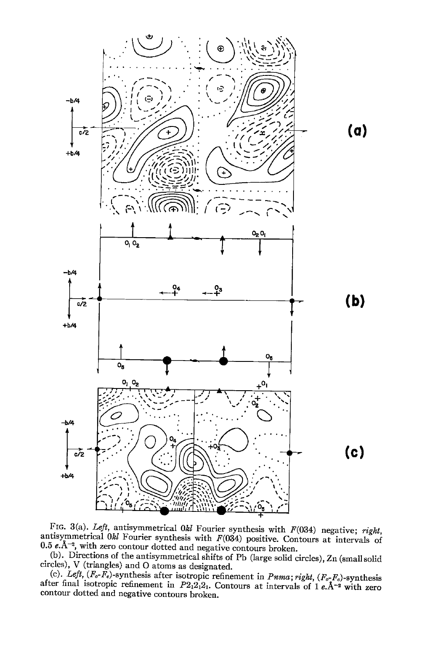

FIG. 3(a). Left, antisymmetrical 0 $kl$  Fourier synthesis with F(034) negative; right, antisymmetrical 0 $kl$  Fourier synthesis with F(034) positive. Contours at intervals of 0.5  $e.\AA^{-2}$ , with zero contour dotted and negative contours broken.<br>(b). Directions of the antisymmetrical shifts of Pb (large solid circles), Zn (small solid

circles), V (triangles) and O atoms as designated.

(c). Left,  $(F_o-F_e)$ -synthesis after isotropic refinement in *Puma*; right,  $(F_o-F_e)$ -synthesis after final isotropic refinement in  $P2_12_12_1$ . Contours at intervals of 1e.A<sup>-2</sup> with zero contour dotted and negative contours broken.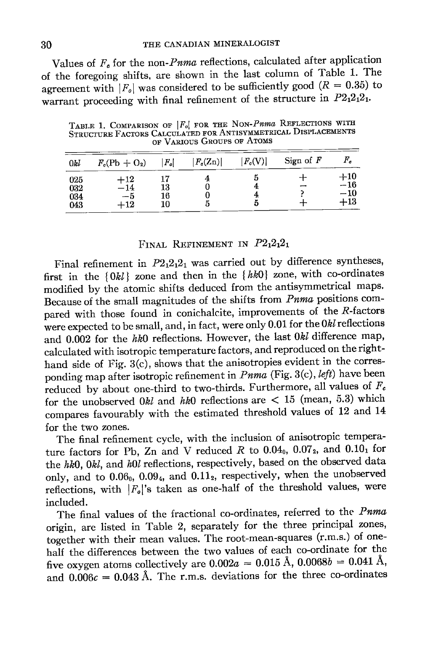Values of  $F_c$  for the non-*Pnma* reflections, calculated after application of the foregoing shifts, are shown in the last column of Table 1. The agreement with  $|F_o|$  was considered to be sufficiently good ( $R = 0.35$ ) to warrant proceeding with final refinement of the structure in  $P2_12_12_1$ .

TABLE 1. COMPARISON OF |F<sub>o</sub>| FOR THE NON-Pnma REFLECTIONS WITH STRUCTURE FACTORS CALCULATED FOR ANTISYMMETRICAL DISPLACEMENTS OF VARIOUS GROUPS OF ATOMS

| 0kl                      | $F_c(\text{Pb} + \text{O}_2)$                 | $\left F_o\right $ | $ F_c(\mathrm{Zn}) $ | $ F_c(\mathrm{V}) $ | Sign of $F$ | $\mathit{F}_a$                   |
|--------------------------|-----------------------------------------------|--------------------|----------------------|---------------------|-------------|----------------------------------|
| 025<br>032<br>034<br>043 | $^{\rm +12}$<br>$-14$<br>$-5$<br>$^{\rm +12}$ | 13<br>16<br>10     | O                    | Ð                   | --          | $+10$<br>$-16$<br>$-10$<br>$+13$ |

### FINAL REFINEMENT IN  $P2_12_12_1$

Final refinement in  $P2_12_12_1$  was carried out by difference syntheses, first in the  $\{0kl\}$  zone and then in the  $\{hk0\}$  zone, with co-ordinates modified by the atomic shifts deduced from the antisymmetrical maps. Because of the small magnitudes of the shifts from Pnma positions compared with those found in conichalcite, improvements of the R-factors were expected to be small, and, in fact, were only 0.01 for the Okl reflections and 0.002 for the hk0 reflections. However, the last 0kl difference map, calculated with isotropic temperature factors, and reproduced on the righthand side of Fig. 3(c), shows that the anisotropies evident in the corresponding map after isotropic refinement in *Pnma* (Fig. 3(c), left) have been reduced by about one-third to two-thirds. Furthermore, all values of  $F_c$ for the unobserved  $0kl$  and  $hk0$  reflections are < 15 (mean, 5.3) which compares favourably with the estimated threshold values of 12 and 14 for the two zones.

The final refinement cycle, with the inclusion of anisotropic temperature factors for Pb, Zn and V reduced R to  $0.04_0$ ,  $0.07_2$ , and  $0.10_1$  for the hk0, 0kl, and h0l reflections, respectively, based on the observed data only, and to  $0.06_0$ ,  $0.09_4$ , and  $0.11_2$ , respectively, when the unobserved reflections, with  $|F_o|$ 's taken as one-half of the threshold values, were included.

The final values of the fractional co-ordinates, referred to the Pnma origin, are listed in Table 2, separately for the three principal zones, together with their mean values. The root-mean-squares (r.m.s.) of onehalf the differences between the two values of each co-ordinate for the five oxygen atoms collectively are  $0.002a = 0.015 \text{ Å}$ ,  $0.0068b = 0.041 \text{ Å}$ , and  $0.006c = 0.043$  Å. The r.m.s. deviations for the three co-ordinates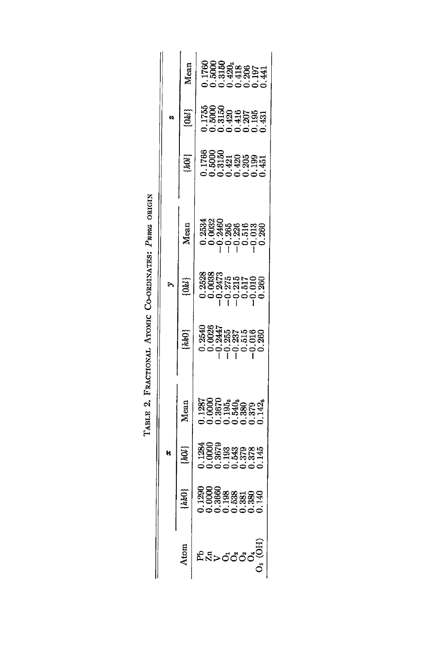|  |  | Mean           |                                                                                                                                 |
|--|--|----------------|---------------------------------------------------------------------------------------------------------------------------------|
|  |  | $\overline{3}$ |                                                                                                                                 |
|  |  | IJ             | ses<br>198338835<br>198338835                                                                                                   |
|  |  | Mean           |                                                                                                                                 |
|  |  | [36]           |                                                                                                                                 |
|  |  | hkO            |                                                                                                                                 |
|  |  | Mean           | 1287<br>10007.353.888<br>1000.000.142<br>1000.000.142                                                                           |
|  |  | hOl }          | $1284$<br>$0000$<br>$0000$<br>$0000$<br>$0000$<br>$0000$<br>$0000$<br>$0000$                                                    |
|  |  | hkO            | $\begin{array}{l} 1290 \\ 1360 \\ 1360 \\ 1360 \\ 1360 \\ 1360 \\ 1360 \\ 1360 \\ 1360 \\ 1360 \\ 1360 \\ 140 \\ 1 \end{array}$ |
|  |  | Aton           |                                                                                                                                 |

| i<br>I   |
|----------|
| ׇ֠֞<br>ì |
|          |
| j<br>J   |
| ĭ<br>I   |
| i        |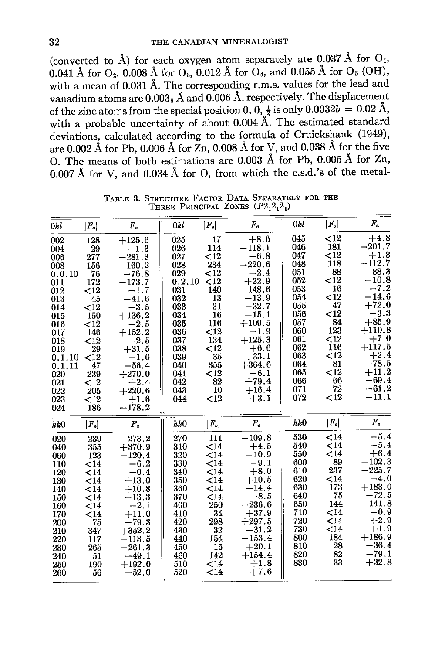(converted to  $\hat{A}$ ) for each oxygen atom separately are 0.037 Å for  $O_1$ , 0.041 Å for  $O_2$ , 0.008 Å for  $O_3$ , 0.012 Å for  $O_4$ , and 0.055 Å for  $O_5$  (OH), with a mean of 0.031 Å. The corresponding r.m.s. values for the lead and vanadium atoms are  $0.003_6$  Å and  $0.006$  Å, respectively. The displacement of the zinc atoms from the special position 0, 0,  $\frac{1}{2}$  is only 0.0032b = 0.02 Å, with a probable uncertainty of about 0.004 Å. The estimated standard deviations, calculated according to the formula of Cruickshank (1949), are 0.002 Å for Pb, 0.006 Å for  $Zn$ , 0.008 Å for V, and 0.038 Å for the five O. The means of both estimations are 0.003 Å for Pb. 0.005 Å for Zn. 0.007 Å for V, and 0.034 Å for O, from which the e.s.d.'s of the metal-

| 0kl                                                                                                                                 | $ F_o $                                                                                                                              | $\bm{F_c}$                                                                                                                                                                                           | 0kl                                                                                                                           | $ F_o $                                                                                                                        | $F_c$                                                                                                                                                                                              | 0kl                                                                                                                        | $ F_o $                                                                                                                                 | $F_{\alpha}$                                                                                                                                                                                     |
|-------------------------------------------------------------------------------------------------------------------------------------|--------------------------------------------------------------------------------------------------------------------------------------|------------------------------------------------------------------------------------------------------------------------------------------------------------------------------------------------------|-------------------------------------------------------------------------------------------------------------------------------|--------------------------------------------------------------------------------------------------------------------------------|----------------------------------------------------------------------------------------------------------------------------------------------------------------------------------------------------|----------------------------------------------------------------------------------------------------------------------------|-----------------------------------------------------------------------------------------------------------------------------------------|--------------------------------------------------------------------------------------------------------------------------------------------------------------------------------------------------|
| 002<br>004<br>006<br>008<br>0.0.10<br>011<br>012<br>013<br>014<br>015<br>016<br>017<br>018<br>019<br>0.1.10<br>0.1.11<br>020<br>021 | 128<br>29<br>277<br>156<br>76<br>172<br>${<}12$<br>45<br>${<}12$<br>150<br>$12$<br>146<br><12<br>29<br>$<$ 12<br>47<br>239<br>$<$ 12 | $+125.6$<br>$-1.3$<br>$-281.3$<br>$-160.2$<br>$-76.8$<br>$-173.7$<br>$-1.7$<br>$-41.6$<br>$-3.5$<br>$+136.2$<br>$-2.5$<br>$+152.2$<br>$-2.5$<br>$+31.5$<br>$-1.6$<br>$-56.4\,$<br>$+270.0$<br>$+2.4$ | 025<br>026<br>027<br>028<br>029<br>0.2.10<br>031<br>032<br>033<br>034<br>035<br>036<br>037<br>038<br>039<br>040<br>041<br>042 | 17<br>114<br><12<br>234<br>$<$ 12<br>$<$ 12<br>140<br>13<br>31<br>16<br>116<br><12<br>134<br>$<$ 12<br>35<br>355<br>$12$<br>82 | $+8.6$<br>$-118.1$<br>$-6.8$<br>$-220.6$<br>$-2.4$<br>$+22.9$<br>$-148.6$<br>$-13.9$<br>$-32.7$<br>$-15.1$<br>$+109.5$<br>$-1.9$<br>$+125.3$<br>$+6.6$<br>$+33.1$<br>$+364.6$<br>$-6.1$<br>$+79.4$ | 045<br>046<br>047<br>048<br>051<br>052<br>053<br>054<br>055<br>056<br>057<br>060<br>061<br>062<br>063<br>064<br>065<br>066 | ${<}12$<br>181<br>${<}12$<br>118<br>88<br><12<br>16<br>$12$<br>47<br>${<}12$<br>84<br>123<br>${<}12$<br>116<br>$12$<br>81<br>$12$<br>66 | $+4.8$<br>$-201.7$<br>$+1.3$<br>$-112.7$<br>$-88.3$<br>$-10.8$<br>$-7.2$<br>$-14.6$<br>$+72.0$<br>$-3.3$<br>$+85.9$<br>$+110.8$<br>$+7.0$<br>$+117.5$<br>$+2.4$<br>$-78.5$<br>$+11.2$<br>$-69.4$ |
| 022<br>023<br>024                                                                                                                   | 205<br>$12$<br>186                                                                                                                   | $+220.6$<br>$+1.6$<br>$-178.2$                                                                                                                                                                       | 043<br>044                                                                                                                    | 10<br>$12$                                                                                                                     | $+16.4$<br>$+3.1$                                                                                                                                                                                  | 071<br>072                                                                                                                 | 72<br>$<$ 12                                                                                                                            | $-61.2$<br>$-11.1$                                                                                                                                                                               |
| hk0                                                                                                                                 | $ F_o $                                                                                                                              | $F_c$                                                                                                                                                                                                | $h\&0$                                                                                                                        | $\left  {{F_o}} \right $                                                                                                       | $F_c$                                                                                                                                                                                              | hk0                                                                                                                        | $ F_o $                                                                                                                                 | $F_c$                                                                                                                                                                                            |
| 020<br>040<br>060<br>110<br>120<br>130<br>140<br>150<br>160<br>170<br>200<br>210<br>220<br>230<br>240<br>250<br>260                 | 239<br>355<br>123<br>$14$<br>$14$<br>$14$<br>$14$<br>< 14<br>$14$<br>${<}14$<br>75<br>347<br>117<br>265<br>-51<br>190<br>56          | $-273.2$<br>$+370.9$<br>$-120.4$<br>$-6.2$<br>$-0.4$<br>$+13.0$<br>$+10.8$<br>$-13.3$<br>$-2.1$<br>$+11.0$<br>$-79.3$<br>$+352.2$<br>$-113.5$<br>$-261.3$<br>$-49.1$<br>$+192.0$<br>$-52.0$          | 270<br>310<br>320<br>330<br>340<br>350<br>360<br>370<br>400<br>410<br>420<br>430<br>440<br>450<br>460<br>510<br>520           | 111<br>$14$<br>$14$<br>$14$<br>$14$<br>$14$<br>$14$<br>$14$<br>250<br>34<br>298<br>$32\,$<br>154<br>15<br>142<br>$14$<br>$14$  | $-109.8$<br>$+4.5$<br>$-10.9$<br>$-9.1$<br>$+8.0$<br>$+10.5$<br>$-14.4$<br>$-8.5$<br>$-236.6$<br>$+37.9$<br>$+297.5$<br>$-31.2$<br>$-153.4$<br>$+20.1$<br>$+154.4$<br>$+1.8$<br>$+7.6$             | 530<br>540<br>550<br>600<br>610<br>620<br>630<br>640<br>650<br>710<br>720<br>730<br>800<br>810<br>820<br>830               | $14$<br>${<}14$<br>$14$<br>89<br>237<br>$14$<br>173<br>75<br>144<br>$14$<br>${<}14$<br>$14$<br>184<br>28<br>82<br>33                    | $-5.4$<br>$-5.4$<br>$+6.4$<br>$-102.3$<br>$-225.7$<br>$-4.0$<br>$+183.0$<br>$-72.5$<br>$-141.8$<br>$-0.9$<br>$+2.9$<br>$+1.9$<br>$+186.9$<br>$-36.4$<br>$-79.1$<br>$+32.8$                       |

TABLE 3. STRUCTURE FACTOR DATA SEPARATELY FOR THE THREE PRINCIPAL ZONES  $(P2,2,2,1)$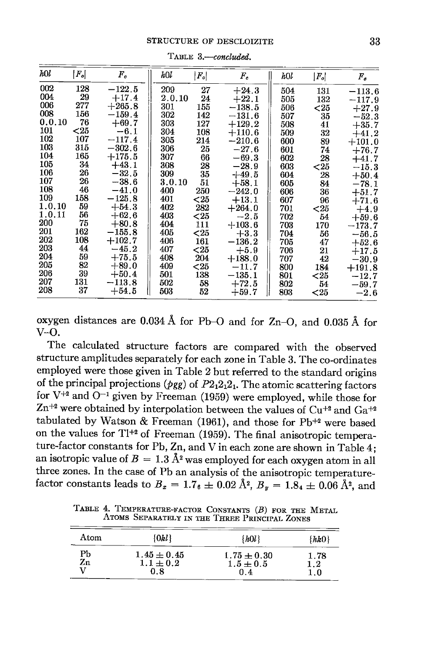| hOl    | $ \mathit{F_{o}} $ | $F_c$    | hOl    | $ F_o $ | $F_c$      | hOl | $F_o$   | $F_a$    |
|--------|--------------------|----------|--------|---------|------------|-----|---------|----------|
| 002    | 128                | $-122.5$ | 209    | 27      | $+24.3$    | 504 | 131     | $-113.6$ |
| 004    | 29                 | $+17.4$  | 2.0.10 | 24      | $+22.1$    | 505 | 132     | $-117.9$ |
| 006    | 277                | $+265.8$ | 301    | 155     | $-138.5$   | 506 | ${<}25$ | $+27.9$  |
| 008    | 156                | $-159.4$ | 302    | 142     | $-131.6$   | 507 | 35      | $-52.3$  |
| 0.0.10 | 76                 | $+69.7$  | 303    | 127     | $+129.2$   | 508 | 41      | $+35.7$  |
| 101    | $25$               | $-6.1$   | 304    | 108     | $+110.6$   | 509 | 32      | $+41.2$  |
| 102    | 107                | $-117.4$ | 305    | 214     | $-210.6$   | 600 | 89      | $+101.0$ |
| 103    | 315                | $-302.6$ | 306    | 25      | $-27.6$    | 601 | 74      | $+76.7$  |
| 104    | 165                | $+175.5$ | 307    | 66      | $-69.3$    | 602 | 28      | $+41.7$  |
| 105    | 34                 | $+43.1$  | 308    | 28      | $-28.9$    | 603 | ${<}25$ | $-15.3$  |
| 106    | 26                 | $-32.5$  | 309    | 35      | $+49.5$    | 604 | 28      | $+50.4$  |
| 107    | 26                 | $-38.6$  | 3.0.10 | 51      | $+58.1$    | 605 | 84      | $-78.1$  |
| 108    | 46                 | $-41.0$  | 400    | 250     | $-242.0$   | 606 | 36      | $+51.7$  |
| 109    | 158                | $-125.8$ | 401    | $<$ 25  | $+13.1$    | 607 | 96      | $+71.6$  |
| 1.0.10 | 59                 | $+54.3$  | 402    | 282     | $+264.0$   | 701 | ${<}25$ | $+4.9$   |
| 1.0.11 | 56                 | $+62.6$  | 403    | $25$    | $-2.5$     | 702 | 54      | $+59.6$  |
| 200    | 75                 | $+80.8$  | 404    | 111     | $+103.6$   | 703 | 170     | $-173.7$ |
| 201    | 162                | $-155.8$ | 405    | ${<}25$ | $+3.3$     | 704 | 56      | $-56.5$  |
| 202    | 108                | $+102.7$ | 406    | 161     | $-136.2\,$ | 705 | 47      | $+52.6$  |
| 203    | 44                 | $-45.2$  | 407    | $25$    | $+5.9$     | 706 | 21      | $+17.5$  |
| 204    | 59                 | $+75.5$  | 408    | 204     | $+188.0$   | 707 | 42      | $-30.9$  |
| 205    | 82                 | $+89.0$  | 409    | ${<}25$ | $-11.7$    | 800 | 184     | $+191.8$ |
| 206    | 39                 | $+50.4$  | 501    | 138     | $-135.1$   | 801 | $25$    | $-12.7$  |
| 207    | 131                | $-113.8$ | 502    | 58      | $+72.5$    | 802 | 54      | $-59.7$  |
| 208    | 37                 | $+54.5$  | 503    | 52      | $+59.7$    | 803 | $<$ 25  | $-2.6$   |
|        |                    |          |        |         |            |     |         |          |

TABLE 3.-concluded.

oxygen distances are 0.034 Å for Pb-O and for Zn-O, and 0.035 Å for V-0.

The calculated structure factors are compared with the observed structure amplitudes separately for each zone in Table 3. The co-ordinates employed were those given in Table 2 but referred to the standard origins of the principal projections ( $\rho_{gg}$ ) of  $P_{2,12,12}$ . The atomic scattering factors for  $V^{+2}$  and  $O^{-1}$  given by Freeman (1959) were employed, while those for  $Zn^{+2}$  were obtained by interpolation between the values of Cu<sup>+2</sup> and Ga<sup>+2</sup> tabulated by Watson & Freeman (1961), and those for Pb<sup>+2</sup> were based on the values for T1<sup>+2</sup> of Freeman (1959). The final anisotropic temperature-factor constants for Pb, Zn, and V in each zone are shown in Table 4; an isotropic value of  $B = 1.3 \text{ Å}^2$  was employed for each oxygen atom in all three zones. In the case of Pb an analysis of the anisotropic temperaturefactor constants leads to  $B_x = 1.7$   $\underset{\text{A}}{=} 0.02 \text{ Å}^2$ ,  $B_y = 1.8$   $\underset{\text{A}}{=} 0.06 \text{ Å}^2$ , and

|      |                 | ATOMS SEPARATELY IN THE THREE PRINCIPAL ZONES |           |
|------|-----------------|-----------------------------------------------|-----------|
| Atom | $\{0kl\}$       | $\{h0l\}$                                     | $\{hk0\}$ |
| Ph   | $1.45 \pm 0.45$ | $1.75 \pm 0.30$                               | 1.78      |

 $1.5 \pm 0.5$ 

 $0.4$ 

 $1.1 \pm 0.2$ 

 $0.8$ 

Zn

 $\overline{\mathbf{V}}$ 

 $1.2\,$ 

 $1.0$ 

TABLE 4. TEMPERATURE-FACTOR CONSTANTS (B) FOR THE METAL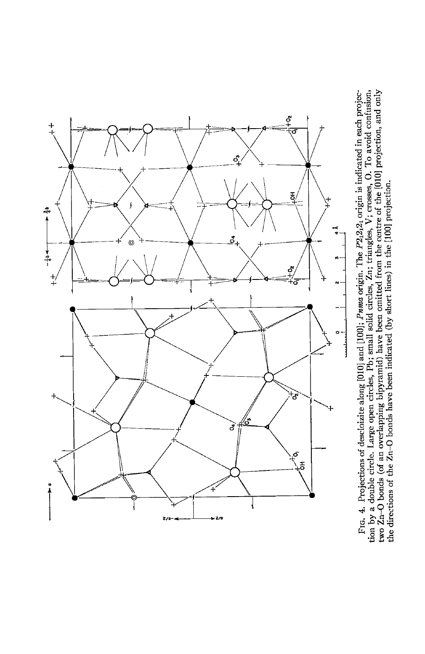

tion by a double circle. Large open circles, Pb; small solid circles, Zn; triangles, V; crosses, O. To avoid confusion, two Zn-O bonds (of an overlapping bipyramid) have been omitted from the centre of the [010] projection FrG. 4. Projections of descloizite along [010] and [100]; Puma origin. The P2,2,2, origin is indicated in each projecthe directions of the Zn-O bonds have been indicated (by short lines) in the [100] projection.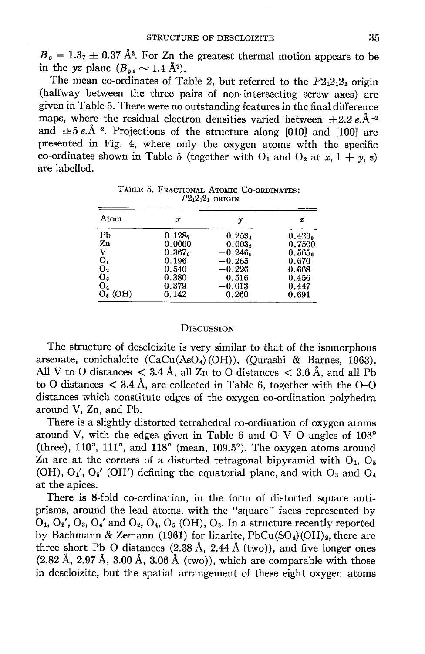$B_z = 1.3<sub>7</sub> \pm 0.37$  Å<sup>2</sup>. For Zn the greatest thermal motion appears to be in the yz plane  $(B_{yz} \sim 1.4 \text{ Å}^2)$ 

The mean co-ordinates of Table 2, but referred to the  $P2_12_12_1$  origin (halfway between the three pairs of non-intersecting screw axes) are given in Table 5. There were no outstanding features in the final difference maps, where the residual electron densities varied between  $\pm 2.2$  e. $\AA^{-2}$ and  $\pm 5 e.\AA^{-2}$ . Projections of the structure along [010] and [100] are presented in Fig. 4, where only the oxygen atoms with the specific co-ordinates shown in Table 5 (together with  $O_1$  and  $O_2$  at x,  $1 + y$ , z) are labelled.

| Atom           | x                  | v                  | z                  |
|----------------|--------------------|--------------------|--------------------|
| Pb             | 0.128 <sub>7</sub> | $0.253_4$          | 0.426 <sub>0</sub> |
| Z <sub>n</sub> | 0.0000             | 0.003 <sub>2</sub> | 0.7500             |
| v              | 0.367              | $-0.246n$          | 0.565 <sub>0</sub> |
| O <sub>1</sub> | 0.196              | $-0.265$           | 0.670              |
| $O_{2}$        | 0.540              | $-0.226$           | 0.668              |
| O2             | 0.380              | 0.516              | 0.456              |
| O4             | 0.379              | $-0.013$           | 0.447              |
| $Oa$ (OH)      | 0.142              | 0.260              | 0.691              |

TABLE 5. FRACTIONAL ATOMIC CO-ORDINATES:  $P2_12_12_1$  origin

### **D**ISCUSSION

The structure of descloizite is very similar to that of the isomorphous arsenate, conichalcite (CaCu(AsO<sub>4</sub>)(OH)), (Qurashi & Barnes, 1963). All V to O distances  $\langle 3.4 \text{ Å}, \text{ all } \text{Zn}$  to O distances  $\langle 3.6 \text{ Å}, \text{ and all } \text{Pb}$ to O distances  $\langle 3.4 \text{ Å}$ , are collected in Table 6, together with the O-O distances which constitute edges of the oxygen co-ordination polyhedra around V, Zn, and Pb.

There is a slightly distorted tetrahedral co-ordination of oxygen atoms around V, with the edges given in Table 6 and  $O-V-O$  angles of  $106^{\circ}$ (three),  $110^{\circ}$ ,  $111^{\circ}$ , and  $118^{\circ}$  (mean,  $109.5^{\circ}$ ). The oxygen atoms around Zn are at the corners of a distorted tetragonal bipyramid with  $O_1$ ,  $O_5$ (OH),  $O_1'$ ,  $O_5'$  (OH') defining the equatorial plane, and with  $O_3$  and  $O_4$ at the apices.

There is S-fold co-ordination, in the form of distorted square antiprisms, around the lead atoms, with the "square" faces represented by  $O_1$ ,  $O_2'$ ,  $O_3$ ,  $O_4'$  and  $O_2$ ,  $O_4$ ,  $O_5$  (OH),  $O_3$ . In a structure recently reported by Bachmann & Zemann (1961) for linarite,  $PbCu(SO<sub>4</sub>)(OH)<sub>2</sub>$ , there are three short Pb-O distances  $(2.38 \text{ Å}, 2.44 \text{ Å}$  (two)), and five longer ones  $(2.82 \text{ Å}, 2.97 \text{ Å}, 3.00 \text{ Å}, 3.06 \text{ Å}$  (two)), which are comparable with those in descloizite, but the spatial arrangement of these eight oxygen atoms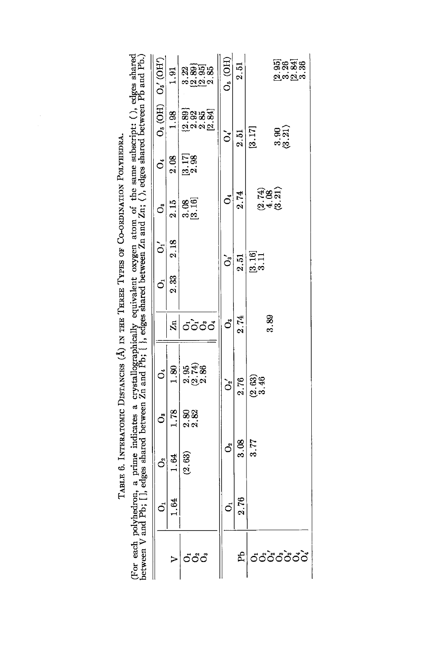| (For each polyhedron, a prime indicates a crystallographically equivalent oxygen atom of the same subscript: (), edges shared<br>between V and Pb; [], edges shared between Zn and Pb; { }, edges shared between Zn and Zn; (), | $O_6$ (OH) $O_6'$ (OH) | 1.91                    |                       | ន្ត<br>ទី១១ និង<br>ប្រុក និង | $Ob$ (OH)     | 2.51 |                     | යිදි<br>මූහු සිස            |  |
|---------------------------------------------------------------------------------------------------------------------------------------------------------------------------------------------------------------------------------|------------------------|-------------------------|-----------------------|------------------------------|---------------|------|---------------------|-----------------------------|--|
|                                                                                                                                                                                                                                 |                        | 1.98                    |                       | ම්ශිෂි<br>මූලිකි             | ૅ             | 2.51 | [3.17]              | $\left(\frac{3}{21}\right)$ |  |
|                                                                                                                                                                                                                                 | $\vec{c}$              | 2.08                    | $\frac{[3.17]}{2.98}$ |                              |               |      |                     |                             |  |
|                                                                                                                                                                                                                                 | ő                      | 2.15                    | 3.16                  |                              | $\vec{c}$     | 2.74 |                     | त था<br>संबंध<br>संबंध      |  |
|                                                                                                                                                                                                                                 | $\sigma$               | 2.18                    |                       |                              | $\mathbf{S}$  | 2.51 | <u>ธ.16]</u><br>อ.บ |                             |  |
|                                                                                                                                                                                                                                 | $\dot{\circ}$          | 2.33                    |                       |                              |               |      |                     |                             |  |
|                                                                                                                                                                                                                                 |                        | $\mathbf{z}_\mathbf{n}$ |                       | රටිරීර්                      | ő             | 2.74 |                     | 3.89                        |  |
|                                                                                                                                                                                                                                 | ŏ                      | 1.80                    | an<br>2012<br>2012    |                              | ેં            | 2.76 | 2.63)<br>3.46       |                             |  |
|                                                                                                                                                                                                                                 | ő                      | 1.78                    | ର<br>ବି.ଅ             |                              |               |      |                     |                             |  |
|                                                                                                                                                                                                                                 | ්                      | 1.84                    | (2.63)                |                              | ő             | 3.08 | 3.77                |                             |  |
|                                                                                                                                                                                                                                 | $\vec{o}$              | 1.64                    |                       |                              | $\dot{\circ}$ | 2.76 |                     |                             |  |
|                                                                                                                                                                                                                                 |                        |                         | ්්ථ්                  |                              |               | Æ    |                     | .<br>วัด้ว <i>ั</i> ด้วัด   |  |

TABLE 6. INTERATOMIC DISTANCES  $(\text{\AA})$  in the Three Types of Co-ordination Polyhedra.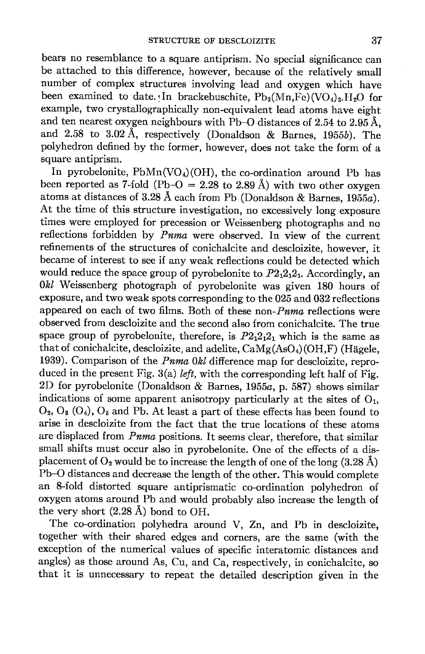bears no resemblance to a square antiprism. No special significance can be attached to this difference, however, because of the relatively small number of complex structures involving lead and oxygen which have been examined to date. In brackebuschite,  $Pb_2(Mn.Fe)(VO_4)$ <sub>2</sub>.H<sub>2</sub>O for example, two crystallographically non-equivalent lead atoms have eight and ten nearest oxygen neighbours with Pb-O distances of 2.54 to 2.95 Å. and 2.58 to 3.02 A, respectively (Donaldson & Barnes, 1g55b). The polyhedron defined by the former, however, does not take the form of a square antiprism.

In pyrobelonite,  $PbMn(VO<sub>4</sub>)(OH)$ , the co-ordination around Pb has been reported as 7-fold (Pb-O = 2.28 to 2.89 Å) with two other oxygen atoms at distances of  $3.28 \text{ Å}$  each from Pb (Donaldson & Barnes, 1955a). At the time of this structure investigation, no excessively long exposure times were employed for precession or Weissenberg photographs and no reflections forbidden by *Puma* were observed. In view of the current refinements of the structures of conichalcite and descloizite, however, it became of interest to see if any weak reflections could be detected which would reduce the space group of pyrobelonite to  $P2<sub>1</sub>2<sub>1</sub>2<sub>1</sub>$ . Accordingly, an 0&l Weissenberg photograph of pyrobelonite was given 180 hours of exposure, and two weak spots corresponding to the 025 and 032 reflections appeared on each of two films. Both of these non- $Pnma$  reflections were observed from descloizite and the second also from conichalcite. The true space group of pyrobelonite, therefore, is  $P2_12_12_1$  which is the same as that of conichalcite, descloizite, and adelite,  $\text{CaMg(AsO<sub>4</sub>)(OH,F)}$  (Hägele, 1939). Comparison of the Pnma 0kl difference map for descloizite, reproduced in the present Fig.  $3(a)$  *left*, with the corresponding left half of Fig.  $2D$  for pyrobelonite (Donaldson & Barnes, 1955a, p. 587) shows similar indications of some apparent anisotropy particularly at the sites of  $O<sub>1</sub>$ ,  $O_2$ ,  $O_3$  ( $O_4$ ),  $O_5$  and Pb. At least a part of these effects has been found to arise in descloizite from the fact that the true locations of these aroms are displaced from Pnma positions. It seems clear, therefore, that similar small shifts must occur also in pyrobelonite. One of the effects of a displacement of  $O_2$  would be to increase the length of one of the long (3.28 Å) Pb-O distances and decrease the length of the other. This would complete an 8-fold distorted square antiprismatic co-ordination polyhedron of oxygen atoms around Pb and would probably also increase the length of the very short  $(2.28 \text{ Å})$  bond to OH.

The co-ordination polyhedra around Y, Zn, and Pb in descloizite, together with their shared edges and corners, are the same (with the exception of the numerical values of specific interatomic distances and angles) as those around As, Cu, and Ca, respectively, in conichalcite, so that it is unnecessary to repeat the detailed description given in the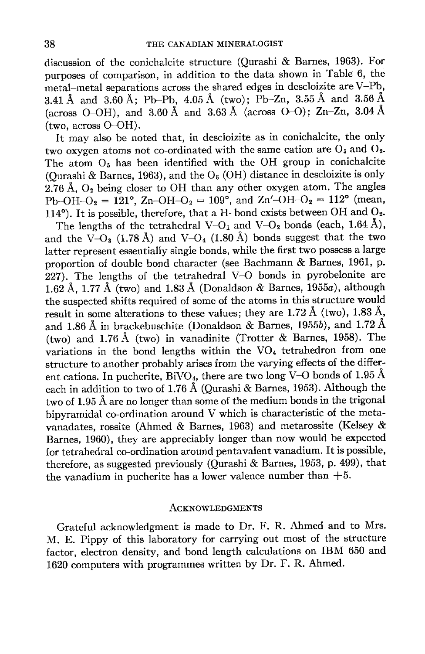discussion of the conichalcite structure (Qurashi & Barnes, 1963). For purposes of comparison, in addition to the data shown in Table 6, the metal-metal separations across the shared edges in descloizite are V-Pb, 3.41 Å and 3.60 Å; Pb-Pb, 4.05 Å (two); Pb-Zn, 3.55 Å and 3.56 Å (across O-OH), and 3.60 Å and 3.63 Å (across O-O); Zn-Zn, 3.04 Å (two, across O-OH).

It may also be noted that, in descloizite as in conichalcite, the only two oxygen atoms not co-ordinated with the same cation are  $O_5$  and  $O_2$ . The atom  $O<sub>5</sub>$  has been identified with the OH group in conichalcite (Ourashi & Barnes, 1963), and the  $O<sub>5</sub>$  (OH) distance in descloizite is only  $2.76$  Å,  $O<sub>2</sub>$  being closer to OH than any other oxygen atom. The angles Pb-OH-O<sub>2</sub> = 121°, Zn-OH-O<sub>2</sub> = 109°, and Zn'-OH-O<sub>2</sub> = 112° (mean, 114°). It is possible, therefore, that a H-bond exists between OH and  $O_2$ .

The lengths of the tetrahedral V-O<sub>1</sub> and V-O<sub>2</sub> bonds (each, 1.64 Å), and the  $\check{V}-O_3$  (1.78 Å) and  $V-O_4$  (1.80 Å) bonds suggest that the two latter represent essentially single bonds, while the first two possess a large proportion of double bond character (see Bachmann & Barnes, 1961, p. 227). The lengths of the tetrahedral V-O bonds in pyrobelonite are 1.62 Å, 1.77 Å (two) and 1.83 Å (Donaldson & Barnes, 1955a), although the suspected shifts required of some of the atoms in this structure would result in some alterations to these values; they are 1.72 Å (two), 1.83 Å, and 1.86 Å in brackebuschite (Donaldson  $\&$  Barnes, 1955b), and 1.72 Å (two) and 1.76 A (two) in vanadinite (Trotter & Barnes, 1958). The variations in the bond lengths within the  $VO<sub>4</sub>$  tetrahedron from one structure to another probably arises from the varying effects of the different cations. In pucherite, BiVO<sub>4</sub>, there are two long V-O bonds of 1.95 Å each in addition to two of 1.76 A (Qurashi & Barnes, 1953). Although the two of 1.95 A are no longer than some of the medium bonds in the trigonal bipyramidal co-ordination around V which is characteristic of the metavanadates, rossite (Ahmed & Barnes, 1963) and metarossite (Kelsey & Barnes, 1960), they are appreciably longer than now would be expected for tetrahedral co-ordination around pentavalent vanadium. It is possible, therefore, as suggested previously (Qurashi & Barnes, 1953, p. 499), that the vanadium in pucherite has a lower valence number than  $+5$ .

#### ACKNOWLEDGMENTS

Grateful acknowledgment is made to Dr. F. R. Ahmed and to Mrs. M. E. Pippy of this laboratory for carrying out most of the structure factor, electron density, and bond length calculations on IBM 650 and L620 computers with programmes written by Dr. F. R. Ahmed.